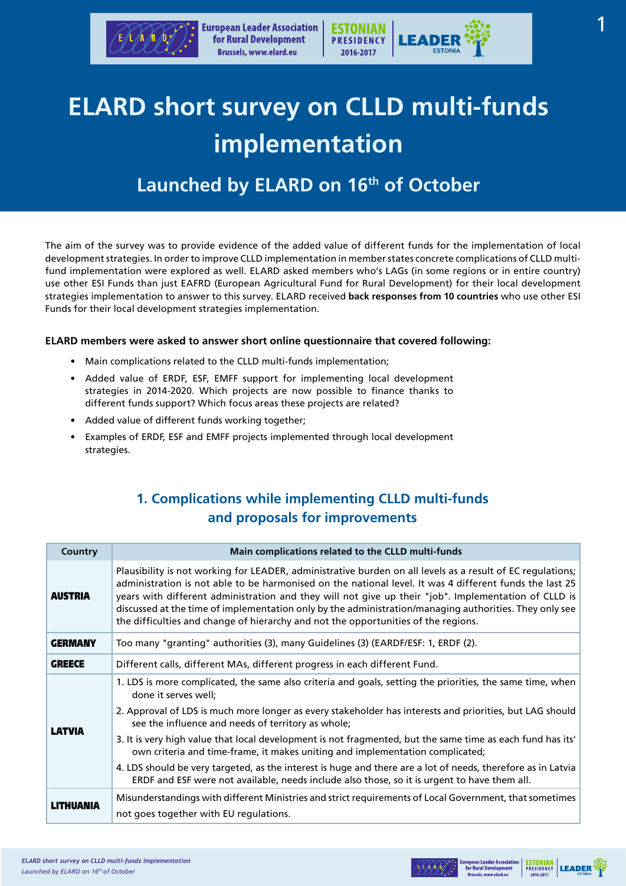

# **ELARD short survey on CLLD multi-funds implementation**

## Launched by ELARD on 16<sup>th</sup> of October

The aim of the survey was to provide evidence of the added value of different funds for the implementation of local development strategies. In order to improve CLLD implementation in member states concrete complications of CLLD multifund implementation were explored as well. ELARD asked members who's LAGs (in some regions or in entire country) use other ESI Funds than just EAFRD (European Agricultural Fund for Rural Development) for their local development strategies implementation to answer to this survey. ELARD received **back responses from 10 countries** who use other ESI Funds for their local development strategies implementation.

### **ELARD members were asked to answer short online questionnaire that covered following:**

- Main complications related to the CLLD multi-funds implementation;
- Added value of ERDF, ESF, EMFF support for implementing local development strategies in 2014-2020. Which projects are now possible to finance thanks to different funds support? Which focus areas these projects are related?
- Added value of different funds working together;
- Examples of ERDF, ESF and EMFF projects implemented through local development strategies.

### **1. Complications while implementing CLLD multi-funds and proposals for improvements**

| <b>Country</b> | Main complications related to the CLLD multi-funds                                                                                                                                                                                                                                                                                                                                                                                                                                                                            |
|----------------|-------------------------------------------------------------------------------------------------------------------------------------------------------------------------------------------------------------------------------------------------------------------------------------------------------------------------------------------------------------------------------------------------------------------------------------------------------------------------------------------------------------------------------|
| <b>AUSTRIA</b> | Plausibility is not working for LEADER, administrative burden on all levels as a result of EC regulations;<br>administration is not able to be harmonised on the national level. It was 4 different funds the last 25<br>years with different administration and they will not give up their "job". Implementation of CLLD is<br>discussed at the time of implementation only by the administration/managing authorities. They only see<br>the difficulties and change of hierarchy and not the opportunities of the regions. |
| <b>GERMANY</b> | Too many "granting" authorities (3), many Guidelines (3) (EARDF/ESF: 1, ERDF (2).                                                                                                                                                                                                                                                                                                                                                                                                                                             |
| <b>GREECE</b>  | Different calls, different MAs, different progress in each different Fund.                                                                                                                                                                                                                                                                                                                                                                                                                                                    |
| <b>LATVIA</b>  | 1. LDS is more complicated, the same also criteria and goals, setting the priorities, the same time, when<br>done it serves well;                                                                                                                                                                                                                                                                                                                                                                                             |
|                | 2. Approval of LDS is much more longer as every stakeholder has interests and priorities, but LAG should<br>see the influence and needs of territory as whole;                                                                                                                                                                                                                                                                                                                                                                |
|                | 3. It is very high value that local development is not fragmented, but the same time as each fund has its'<br>own criteria and time-frame, it makes uniting and implementation complicated;                                                                                                                                                                                                                                                                                                                                   |
|                | 4. LDS should be very targeted, as the interest is huge and there are a lot of needs, therefore as in Latvia<br>ERDF and ESF were not available, needs include also those, so it is urgent to have them all.                                                                                                                                                                                                                                                                                                                  |
| LITHUANIA      | Misunderstandings with different Ministries and strict requirements of Local Government, that sometimes                                                                                                                                                                                                                                                                                                                                                                                                                       |
|                | not goes together with EU regulations.                                                                                                                                                                                                                                                                                                                                                                                                                                                                                        |



**ESTONIAN** LEADER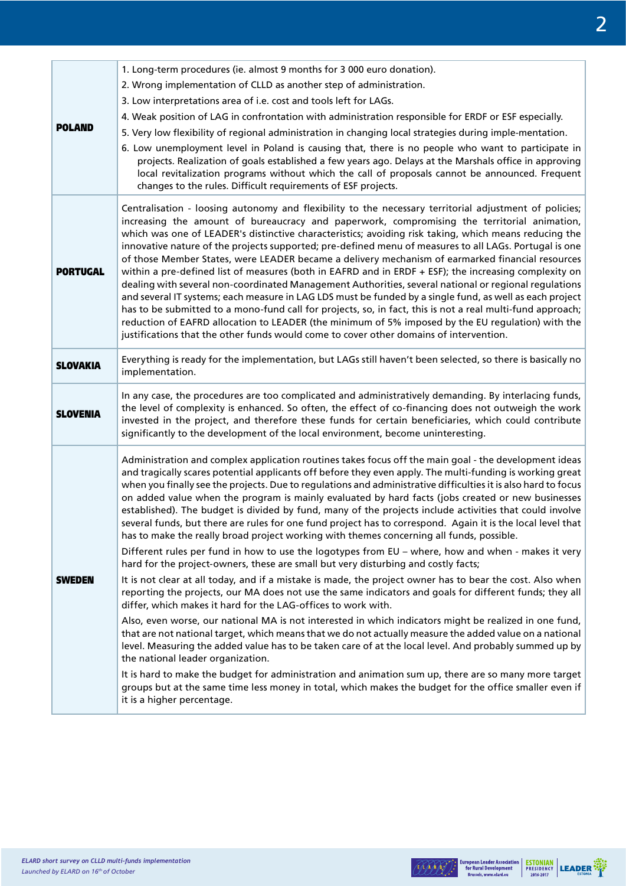|                 | 1. Long-term procedures (ie. almost 9 months for 3 000 euro donation).                                                                                                                                                                                                                                                                                                                                                                                                                                                                                                                                                                                                                                                                                                                                                                                                                                                                                         |
|-----------------|----------------------------------------------------------------------------------------------------------------------------------------------------------------------------------------------------------------------------------------------------------------------------------------------------------------------------------------------------------------------------------------------------------------------------------------------------------------------------------------------------------------------------------------------------------------------------------------------------------------------------------------------------------------------------------------------------------------------------------------------------------------------------------------------------------------------------------------------------------------------------------------------------------------------------------------------------------------|
| <b>POLAND</b>   | 2. Wrong implementation of CLLD as another step of administration.                                                                                                                                                                                                                                                                                                                                                                                                                                                                                                                                                                                                                                                                                                                                                                                                                                                                                             |
|                 | 3. Low interpretations area of i.e. cost and tools left for LAGs.                                                                                                                                                                                                                                                                                                                                                                                                                                                                                                                                                                                                                                                                                                                                                                                                                                                                                              |
|                 | 4. Weak position of LAG in confrontation with administration responsible for ERDF or ESF especially.                                                                                                                                                                                                                                                                                                                                                                                                                                                                                                                                                                                                                                                                                                                                                                                                                                                           |
|                 | 5. Very low flexibility of regional administration in changing local strategies during imple-mentation.                                                                                                                                                                                                                                                                                                                                                                                                                                                                                                                                                                                                                                                                                                                                                                                                                                                        |
|                 | 6. Low unemployment level in Poland is causing that, there is no people who want to participate in<br>projects. Realization of goals established a few years ago. Delays at the Marshals office in approving<br>local revitalization programs without which the call of proposals cannot be announced. Frequent<br>changes to the rules. Difficult requirements of ESF projects.                                                                                                                                                                                                                                                                                                                                                                                                                                                                                                                                                                               |
|                 | Centralisation - loosing autonomy and flexibility to the necessary territorial adjustment of policies;<br>increasing the amount of bureaucracy and paperwork, compromising the territorial animation,                                                                                                                                                                                                                                                                                                                                                                                                                                                                                                                                                                                                                                                                                                                                                          |
| <b>PORTUGAL</b> | which was one of LEADER's distinctive characteristics; avoiding risk taking, which means reducing the<br>innovative nature of the projects supported; pre-defined menu of measures to all LAGs. Portugal is one<br>of those Member States, were LEADER became a delivery mechanism of earmarked financial resources<br>within a pre-defined list of measures (both in EAFRD and in ERDF + ESF); the increasing complexity on<br>dealing with several non-coordinated Management Authorities, several national or regional regulations<br>and several IT systems; each measure in LAG LDS must be funded by a single fund, as well as each project<br>has to be submitted to a mono-fund call for projects, so, in fact, this is not a real multi-fund approach;<br>reduction of EAFRD allocation to LEADER (the minimum of 5% imposed by the EU regulation) with the<br>justifications that the other funds would come to cover other domains of intervention. |
| <b>SLOVAKIA</b> | Everything is ready for the implementation, but LAGs still haven't been selected, so there is basically no<br>implementation.                                                                                                                                                                                                                                                                                                                                                                                                                                                                                                                                                                                                                                                                                                                                                                                                                                  |
| <b>SLOVENIA</b> | In any case, the procedures are too complicated and administratively demanding. By interlacing funds,<br>the level of complexity is enhanced. So often, the effect of co-financing does not outweigh the work<br>invested in the project, and therefore these funds for certain beneficiaries, which could contribute<br>significantly to the development of the local environment, become uninteresting.                                                                                                                                                                                                                                                                                                                                                                                                                                                                                                                                                      |
| <b>SWEDEN</b>   | Administration and complex application routines takes focus off the main goal - the development ideas<br>and tragically scares potential applicants off before they even apply. The multi-funding is working great<br>when you finally see the projects. Due to regulations and administrative difficulties it is also hard to focus<br>on added value when the program is mainly evaluated by hard facts (jobs created or new businesses<br>established). The budget is divided by fund, many of the projects include activities that could involve<br>several funds, but there are rules for one fund project has to correspond. Again it is the local level that<br>has to make the really broad project working with themes concerning all funds, possible.                                                                                                                                                                                                |
|                 | Different rules per fund in how to use the logotypes from EU - where, how and when - makes it very<br>hard for the project-owners, these are small but very disturbing and costly facts;                                                                                                                                                                                                                                                                                                                                                                                                                                                                                                                                                                                                                                                                                                                                                                       |
|                 | It is not clear at all today, and if a mistake is made, the project owner has to bear the cost. Also when<br>reporting the projects, our MA does not use the same indicators and goals for different funds; they all<br>differ, which makes it hard for the LAG-offices to work with.                                                                                                                                                                                                                                                                                                                                                                                                                                                                                                                                                                                                                                                                          |
|                 | Also, even worse, our national MA is not interested in which indicators might be realized in one fund,<br>that are not national target, which means that we do not actually measure the added value on a national<br>level. Measuring the added value has to be taken care of at the local level. And probably summed up by<br>the national leader organization.                                                                                                                                                                                                                                                                                                                                                                                                                                                                                                                                                                                               |
|                 | It is hard to make the budget for administration and animation sum up, there are so many more target<br>groups but at the same time less money in total, which makes the budget for the office smaller even if<br>it is a higher percentage.                                                                                                                                                                                                                                                                                                                                                                                                                                                                                                                                                                                                                                                                                                                   |



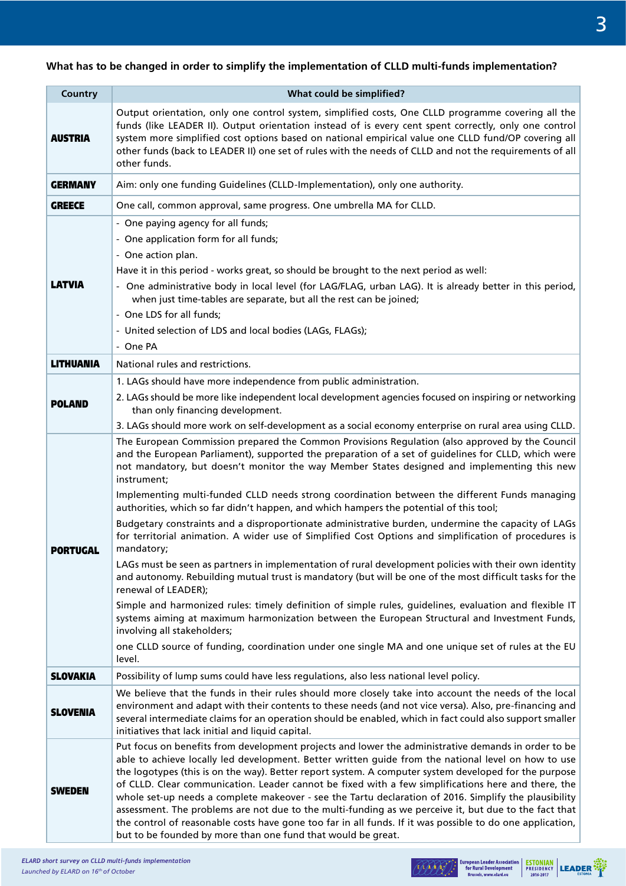### **What has to be changed in order to simplify the implementation of CLLD multi-funds implementation?**

| <b>Country</b>   | What could be simplified?                                                                                                                                                                                                                                                                                                                                                                                                                                                                                                                                                                                                                                                                                                                                                                                                                                                                                                                                                                                                                                                                                                                                                                                                                                                                                                                         |
|------------------|---------------------------------------------------------------------------------------------------------------------------------------------------------------------------------------------------------------------------------------------------------------------------------------------------------------------------------------------------------------------------------------------------------------------------------------------------------------------------------------------------------------------------------------------------------------------------------------------------------------------------------------------------------------------------------------------------------------------------------------------------------------------------------------------------------------------------------------------------------------------------------------------------------------------------------------------------------------------------------------------------------------------------------------------------------------------------------------------------------------------------------------------------------------------------------------------------------------------------------------------------------------------------------------------------------------------------------------------------|
| <b>AUSTRIA</b>   | Output orientation, only one control system, simplified costs, One CLLD programme covering all the<br>funds (like LEADER II). Output orientation instead of is every cent spent correctly, only one control<br>system more simplified cost options based on national empirical value one CLLD fund/OP covering all<br>other funds (back to LEADER II) one set of rules with the needs of CLLD and not the requirements of all<br>other funds.                                                                                                                                                                                                                                                                                                                                                                                                                                                                                                                                                                                                                                                                                                                                                                                                                                                                                                     |
| <b>GERMANY</b>   | Aim: only one funding Guidelines (CLLD-Implementation), only one authority.                                                                                                                                                                                                                                                                                                                                                                                                                                                                                                                                                                                                                                                                                                                                                                                                                                                                                                                                                                                                                                                                                                                                                                                                                                                                       |
| <b>GREECE</b>    | One call, common approval, same progress. One umbrella MA for CLLD.                                                                                                                                                                                                                                                                                                                                                                                                                                                                                                                                                                                                                                                                                                                                                                                                                                                                                                                                                                                                                                                                                                                                                                                                                                                                               |
| <b>LATVIA</b>    | - One paying agency for all funds;<br>- One application form for all funds;<br>- One action plan.<br>Have it in this period - works great, so should be brought to the next period as well:<br>- One administrative body in local level (for LAG/FLAG, urban LAG). It is already better in this period,<br>when just time-tables are separate, but all the rest can be joined;<br>- One LDS for all funds;<br>- United selection of LDS and local bodies (LAGs, FLAGs);<br>- One PA                                                                                                                                                                                                                                                                                                                                                                                                                                                                                                                                                                                                                                                                                                                                                                                                                                                               |
| <b>LITHUANIA</b> | National rules and restrictions.                                                                                                                                                                                                                                                                                                                                                                                                                                                                                                                                                                                                                                                                                                                                                                                                                                                                                                                                                                                                                                                                                                                                                                                                                                                                                                                  |
| <b>POLAND</b>    | 1. LAGs should have more independence from public administration.<br>2. LAGs should be more like independent local development agencies focused on inspiring or networking<br>than only financing development.                                                                                                                                                                                                                                                                                                                                                                                                                                                                                                                                                                                                                                                                                                                                                                                                                                                                                                                                                                                                                                                                                                                                    |
|                  | 3. LAGs should more work on self-development as a social economy enterprise on rural area using CLLD.                                                                                                                                                                                                                                                                                                                                                                                                                                                                                                                                                                                                                                                                                                                                                                                                                                                                                                                                                                                                                                                                                                                                                                                                                                             |
| <b>PORTUGAL</b>  | The European Commission prepared the Common Provisions Regulation (also approved by the Council<br>and the European Parliament), supported the preparation of a set of guidelines for CLLD, which were<br>not mandatory, but doesn't monitor the way Member States designed and implementing this new<br>instrument;<br>Implementing multi-funded CLLD needs strong coordination between the different Funds managing<br>authorities, which so far didn't happen, and which hampers the potential of this tool;<br>Budgetary constraints and a disproportionate administrative burden, undermine the capacity of LAGs<br>for territorial animation. A wider use of Simplified Cost Options and simplification of procedures is<br>mandatory;<br>LAGs must be seen as partners in implementation of rural development policies with their own identity<br>and autonomy. Rebuilding mutual trust is mandatory (but will be one of the most difficult tasks for the<br>renewal of LEADER);<br>Simple and harmonized rules: timely definition of simple rules, guidelines, evaluation and flexible IT<br>systems aiming at maximum harmonization between the European Structural and Investment Funds,<br>involving all stakeholders;<br>one CLLD source of funding, coordination under one single MA and one unique set of rules at the EU<br>level. |
| <b>SLOVAKIA</b>  | Possibility of lump sums could have less regulations, also less national level policy.                                                                                                                                                                                                                                                                                                                                                                                                                                                                                                                                                                                                                                                                                                                                                                                                                                                                                                                                                                                                                                                                                                                                                                                                                                                            |
| <b>SLOVENIA</b>  | We believe that the funds in their rules should more closely take into account the needs of the local<br>environment and adapt with their contents to these needs (and not vice versa). Also, pre-financing and<br>several intermediate claims for an operation should be enabled, which in fact could also support smaller<br>initiatives that lack initial and liquid capital.                                                                                                                                                                                                                                                                                                                                                                                                                                                                                                                                                                                                                                                                                                                                                                                                                                                                                                                                                                  |
| SWEDEN           | Put focus on benefits from development projects and lower the administrative demands in order to be<br>able to achieve locally led development. Better written guide from the national level on how to use<br>the logotypes (this is on the way). Better report system. A computer system developed for the purpose<br>of CLLD. Clear communication. Leader cannot be fixed with a few simplifications here and there, the<br>whole set-up needs a complete makeover - see the Tartu declaration of 2016. Simplify the plausibility<br>assessment. The problems are not due to the multi-funding as we perceive it, but due to the fact that<br>the control of reasonable costs have gone too far in all funds. If it was possible to do one application,<br>but to be founded by more than one fund that would be great.                                                                                                                                                                                                                                                                                                                                                                                                                                                                                                                         |

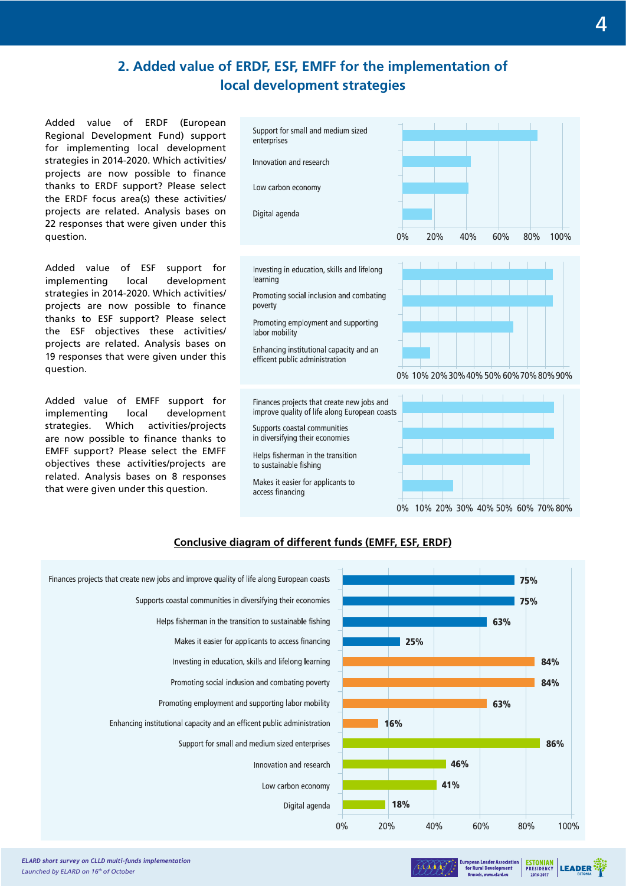### **2. Added value of ERDF, ESF, EMFF for the implementation of local development strategies**

Added value of ERDF (European Regional Development Fund) support for implementing local development strategies in 2014-2020. Which activities/ projects are now possible to finance thanks to ERDF support? Please select the ERDF focus area(s) these activities/ projects are related. Analysis bases on 22 responses that were given under this question.

Added value of ESF support for implementing local development strategies in 2014-2020. Which activities/ projects are now possible to finance thanks to ESF support? Please select the ESF objectives these activities/ projects are related. Analysis bases on 19 responses that were given under this question.

Added value of EMFF support for implementing local development strategies. Which activities/projects are now possible to finance thanks to EMFF support? Please select the EMFF objectives these activities/projects are related. Analysis bases on 8 responses that were given under this question.



Investing in education, skills and lifelong learning

Promoting social inclusion and combating poverty

Promoting employment and supporting labor mobility

Enhancing institutional capacity and an efficent public administration

Finances projects that create new jobs and improve quality of life along European coasts

Supports coastal communities in diversifying their economies

Helps fisherman in the transition

to sustainable fishing

Makes it easier for applicants to access financing



0% 10% 20% 30% 40% 50% 60% 70% 80% 90%



### **Conclusive diagram of different funds (EMFF, ESF, ERDF)**





**ESTONIAN**<br>PRESIDENCY

**LEADER**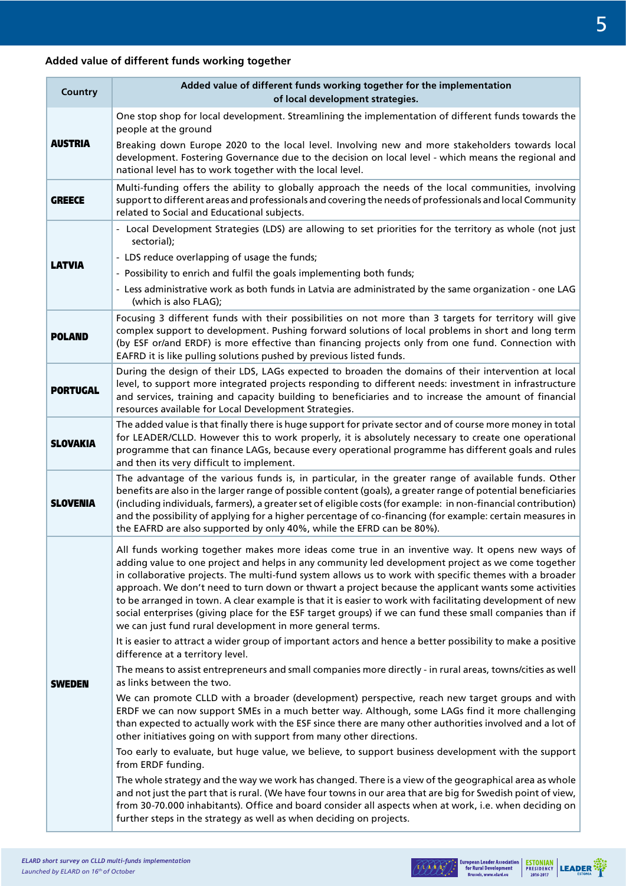### **Added value of different funds working together**

| Country         | Added value of different funds working together for the implementation<br>of local development strategies.                                                                                                                                                                                                                                                                                                                                                                                                                                                                                                                                                                                                    |
|-----------------|---------------------------------------------------------------------------------------------------------------------------------------------------------------------------------------------------------------------------------------------------------------------------------------------------------------------------------------------------------------------------------------------------------------------------------------------------------------------------------------------------------------------------------------------------------------------------------------------------------------------------------------------------------------------------------------------------------------|
| <b>AUSTRIA</b>  | One stop shop for local development. Streamlining the implementation of different funds towards the                                                                                                                                                                                                                                                                                                                                                                                                                                                                                                                                                                                                           |
|                 | people at the ground<br>Breaking down Europe 2020 to the local level. Involving new and more stakeholders towards local<br>development. Fostering Governance due to the decision on local level - which means the regional and<br>national level has to work together with the local level.                                                                                                                                                                                                                                                                                                                                                                                                                   |
| <b>GREECE</b>   | Multi-funding offers the ability to globally approach the needs of the local communities, involving<br>support to different areas and professionals and covering the needs of professionals and local Community<br>related to Social and Educational subjects.                                                                                                                                                                                                                                                                                                                                                                                                                                                |
| <b>LATVIA</b>   | - Local Development Strategies (LDS) are allowing to set priorities for the territory as whole (not just<br>sectorial);                                                                                                                                                                                                                                                                                                                                                                                                                                                                                                                                                                                       |
|                 | - LDS reduce overlapping of usage the funds;<br>- Possibility to enrich and fulfil the goals implementing both funds;<br>- Less administrative work as both funds in Latvia are administrated by the same organization - one LAG<br>(which is also FLAG);                                                                                                                                                                                                                                                                                                                                                                                                                                                     |
| <b>POLAND</b>   | Focusing 3 different funds with their possibilities on not more than 3 targets for territory will give<br>complex support to development. Pushing forward solutions of local problems in short and long term<br>(by ESF or/and ERDF) is more effective than financing projects only from one fund. Connection with<br>EAFRD it is like pulling solutions pushed by previous listed funds.                                                                                                                                                                                                                                                                                                                     |
| <b>PORTUGAL</b> | During the design of their LDS, LAGs expected to broaden the domains of their intervention at local<br>level, to support more integrated projects responding to different needs: investment in infrastructure<br>and services, training and capacity building to beneficiaries and to increase the amount of financial<br>resources available for Local Development Strategies.                                                                                                                                                                                                                                                                                                                               |
| <b>SLOVAKIA</b> | The added value is that finally there is huge support for private sector and of course more money in total<br>for LEADER/CLLD. However this to work properly, it is absolutely necessary to create one operational<br>programme that can finance LAGs, because every operational programme has different goals and rules<br>and then its very difficult to implement.                                                                                                                                                                                                                                                                                                                                         |
| <b>SLOVENIA</b> | The advantage of the various funds is, in particular, in the greater range of available funds. Other<br>benefits are also in the larger range of possible content (goals), a greater range of potential beneficiaries<br>(including individuals, farmers), a greater set of eligible costs (for example: in non-financial contribution)<br>and the possibility of applying for a higher percentage of co-financing (for example: certain measures in<br>the EAFRD are also supported by only 40%, while the EFRD can be 80%).                                                                                                                                                                                 |
|                 | All funds working together makes more ideas come true in an inventive way. It opens new ways of<br>adding value to one project and helps in any community led development project as we come together<br>in collaborative projects. The multi-fund system allows us to work with specific themes with a broader<br>approach. We don't need to turn down or thwart a project because the applicant wants some activities<br>to be arranged in town. A clear example is that it is easier to work with facilitating development of new<br>social enterprises (giving place for the ESF target groups) if we can fund these small companies than if<br>we can just fund rural development in more general terms. |
|                 | It is easier to attract a wider group of important actors and hence a better possibility to make a positive<br>difference at a territory level.                                                                                                                                                                                                                                                                                                                                                                                                                                                                                                                                                               |
| SWEDEN          | The means to assist entrepreneurs and small companies more directly - in rural areas, towns/cities as well<br>as links between the two.                                                                                                                                                                                                                                                                                                                                                                                                                                                                                                                                                                       |
|                 | We can promote CLLD with a broader (development) perspective, reach new target groups and with<br>ERDF we can now support SMEs in a much better way. Although, some LAGs find it more challenging<br>than expected to actually work with the ESF since there are many other authorities involved and a lot of<br>other initiatives going on with support from many other directions.                                                                                                                                                                                                                                                                                                                          |
|                 | Too early to evaluate, but huge value, we believe, to support business development with the support<br>from ERDF funding.                                                                                                                                                                                                                                                                                                                                                                                                                                                                                                                                                                                     |
|                 | The whole strategy and the way we work has changed. There is a view of the geographical area as whole<br>and not just the part that is rural. (We have four towns in our area that are big for Swedish point of view,<br>from 30-70.000 inhabitants). Office and board consider all aspects when at work, i.e. when deciding on<br>further steps in the strategy as well as when deciding on projects.                                                                                                                                                                                                                                                                                                        |

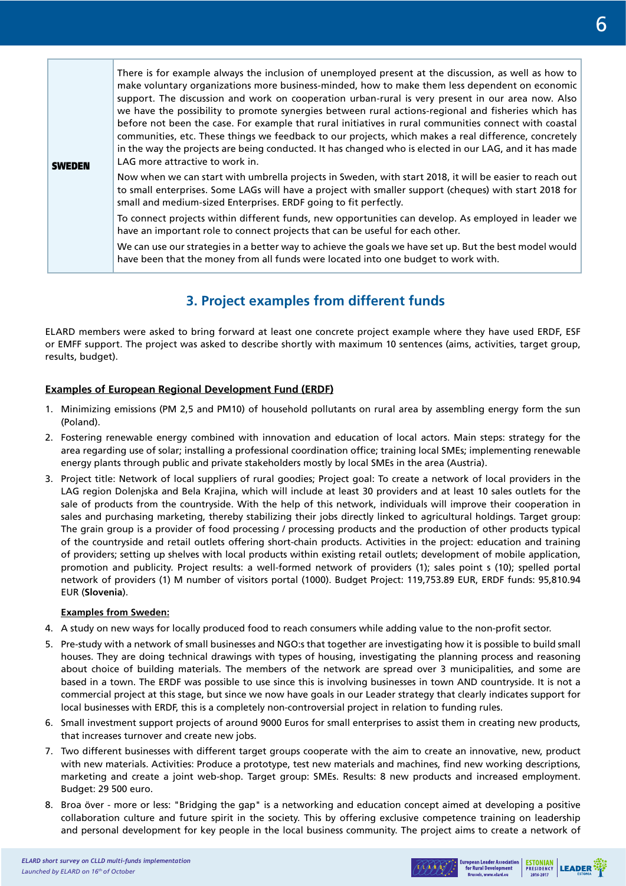| <b>SWEDEN</b> | There is for example always the inclusion of unemployed present at the discussion, as well as how to<br>make voluntary organizations more business-minded, how to make them less dependent on economic<br>support. The discussion and work on cooperation urban-rural is very present in our area now. Also<br>we have the possibility to promote synergies between rural actions-regional and fisheries which has<br>before not been the case. For example that rural initiatives in rural communities connect with coastal<br>communities, etc. These things we feedback to our projects, which makes a real difference, concretely<br>in the way the projects are being conducted. It has changed who is elected in our LAG, and it has made<br>LAG more attractive to work in. |
|---------------|------------------------------------------------------------------------------------------------------------------------------------------------------------------------------------------------------------------------------------------------------------------------------------------------------------------------------------------------------------------------------------------------------------------------------------------------------------------------------------------------------------------------------------------------------------------------------------------------------------------------------------------------------------------------------------------------------------------------------------------------------------------------------------|
|               | Now when we can start with umbrella projects in Sweden, with start 2018, it will be easier to reach out<br>to small enterprises. Some LAGs will have a project with smaller support (cheques) with start 2018 for<br>small and medium-sized Enterprises. ERDF going to fit perfectly.                                                                                                                                                                                                                                                                                                                                                                                                                                                                                              |
|               | To connect projects within different funds, new opportunities can develop. As employed in leader we<br>have an important role to connect projects that can be useful for each other.                                                                                                                                                                                                                                                                                                                                                                                                                                                                                                                                                                                               |
|               | We can use our strategies in a better way to achieve the goals we have set up. But the best model would<br>have been that the money from all funds were located into one budget to work with.                                                                                                                                                                                                                                                                                                                                                                                                                                                                                                                                                                                      |

### **3. Project examples from different funds**

ELARD members were asked to bring forward at least one concrete project example where they have used ERDF, ESF or EMFF support. The project was asked to describe shortly with maximum 10 sentences (aims, activities, target group, results, budget).

### **Examples of European Regional Development Fund (ERDF)**

- 1. Minimizing emissions (PM 2,5 and PM10) of household pollutants on rural area by assembling energy form the sun (Poland).
- 2. Fostering renewable energy combined with innovation and education of local actors. Main steps: strategy for the area regarding use of solar; installing a professional coordination office; training local SMEs; implementing renewable energy plants through public and private stakeholders mostly by local SMEs in the area (Austria).
- 3. Project title: Network of local suppliers of rural goodies; Project goal: To create a network of local providers in the LAG region Dolenjska and Bela Krajina, which will include at least 30 providers and at least 10 sales outlets for the sale of products from the countryside. With the help of this network, individuals will improve their cooperation in sales and purchasing marketing, thereby stabilizing their jobs directly linked to agricultural holdings. Target group: The grain group is a provider of food processing / processing products and the production of other products typical of the countryside and retail outlets offering short-chain products. Activities in the project: education and training of providers; setting up shelves with local products within existing retail outlets; development of mobile application, promotion and publicity. Project results: a well-formed network of providers (1); sales point s (10); spelled portal network of providers (1) M number of visitors portal (1000). Budget Project: 119,753.89 EUR, ERDF funds: 95,810.94 EUR (**Slovenia**).

### **Examples from Sweden:**

- 4. A study on new ways for locally produced food to reach consumers while adding value to the non-profit sector.
- 5. Pre-study with a network of small businesses and NGO:s that together are investigating how it is possible to build small houses. They are doing technical drawings with types of housing, investigating the planning process and reasoning about choice of building materials. The members of the network are spread over 3 municipalities, and some are based in a town. The ERDF was possible to use since this is involving businesses in town AND countryside. It is not a commercial project at this stage, but since we now have goals in our Leader strategy that clearly indicates support for local businesses with ERDF, this is a completely non-controversial project in relation to funding rules.
- 6. Small investment support projects of around 9000 Euros for small enterprises to assist them in creating new products, that increases turnover and create new jobs.
- 7. Two different businesses with different target groups cooperate with the aim to create an innovative, new, product with new materials. Activities: Produce a prototype, test new materials and machines, find new working descriptions, marketing and create a joint web-shop. Target group: SMEs. Results: 8 new products and increased employment. Budget: 29 500 euro.
- 8. Broa över more or less: "Bridging the gap" is a networking and education concept aimed at developing a positive collaboration culture and future spirit in the society. This by offering exclusive competence training on leadership and personal development for key people in the local business community. The project aims to create a network of



**ESTONIAN** LEADER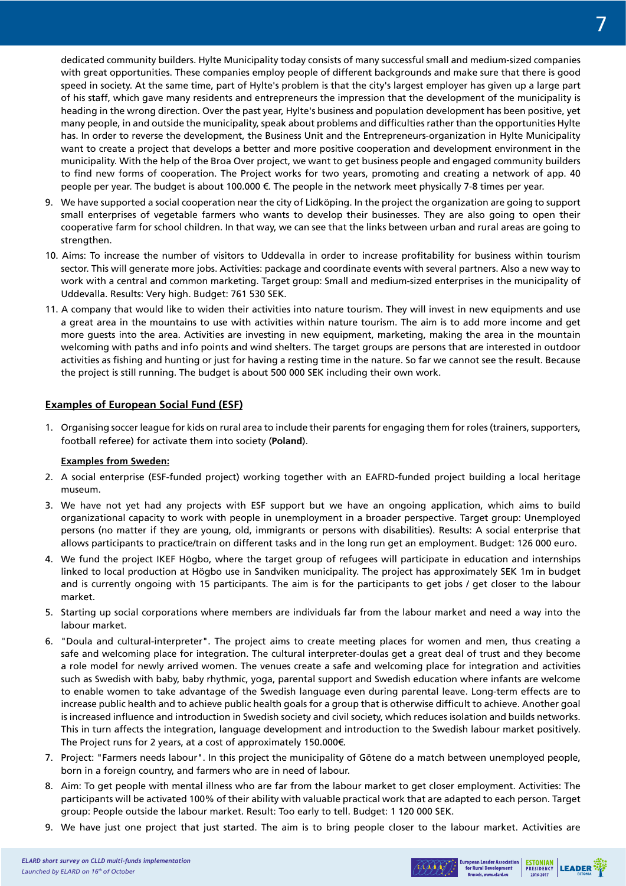dedicated community builders. Hylte Municipality today consists of many successful small and medium-sized companies with great opportunities. These companies employ people of different backgrounds and make sure that there is good speed in society. At the same time, part of Hylte's problem is that the city's largest employer has given up a large part of his staff, which gave many residents and entrepreneurs the impression that the development of the municipality is heading in the wrong direction. Over the past year, Hylte's business and population development has been positive, yet many people, in and outside the municipality, speak about problems and difficulties rather than the opportunities Hylte has. In order to reverse the development, the Business Unit and the Entrepreneurs-organization in Hylte Municipality want to create a project that develops a better and more positive cooperation and development environment in the municipality. With the help of the Broa Over project, we want to get business people and engaged community builders to find new forms of cooperation. The Project works for two years, promoting and creating a network of app. 40 people per year. The budget is about 100.000 €. The people in the network meet physically 7-8 times per year.

- 9. We have supported a social cooperation near the city of Lidköping. In the project the organization are going to support small enterprises of vegetable farmers who wants to develop their businesses. They are also going to open their cooperative farm for school children. In that way, we can see that the links between urban and rural areas are going to strengthen.
- 10. Aims: To increase the number of visitors to Uddevalla in order to increase profitability for business within tourism sector. This will generate more jobs. Activities: package and coordinate events with several partners. Also a new way to work with a central and common marketing. Target group: Small and medium-sized enterprises in the municipality of Uddevalla. Results: Very high. Budget: 761 530 SEK.
- 11. A company that would like to widen their activities into nature tourism. They will invest in new equipments and use a great area in the mountains to use with activities within nature tourism. The aim is to add more income and get more guests into the area. Activities are investing in new equipment, marketing, making the area in the mountain welcoming with paths and info points and wind shelters. The target groups are persons that are interested in outdoor activities as fishing and hunting or just for having a resting time in the nature. So far we cannot see the result. Because the project is still running. The budget is about 500 000 SEK including their own work.

### **Examples of European Social Fund (ESF)**

1. Organising soccer league for kids on rural area to include their parents for engaging them for roles (trainers, supporters, football referee) for activate them into society (**Poland**).

### **Examples from Sweden:**

- 2. A social enterprise (ESF-funded project) working together with an EAFRD-funded project building a local heritage museum.
- 3. We have not yet had any projects with ESF support but we have an ongoing application, which aims to build organizational capacity to work with people in unemployment in a broader perspective. Target group: Unemployed persons (no matter if they are young, old, immigrants or persons with disabilities). Results: A social enterprise that allows participants to practice/train on different tasks and in the long run get an employment. Budget: 126 000 euro.
- 4. We fund the project IKEF Högbo, where the target group of refugees will participate in education and internships linked to local production at Högbo use in Sandviken municipality. The project has approximately SEK 1m in budget and is currently ongoing with 15 participants. The aim is for the participants to get jobs / get closer to the labour market.
- 5. Starting up social corporations where members are individuals far from the labour market and need a way into the labour market.
- 6. "Doula and cultural-interpreter". The project aims to create meeting places for women and men, thus creating a safe and welcoming place for integration. The cultural interpreter-doulas get a great deal of trust and they become a role model for newly arrived women. The venues create a safe and welcoming place for integration and activities such as Swedish with baby, baby rhythmic, yoga, parental support and Swedish education where infants are welcome to enable women to take advantage of the Swedish language even during parental leave. Long-term effects are to increase public health and to achieve public health goals for a group that is otherwise difficult to achieve. Another goal is increased influence and introduction in Swedish society and civil society, which reduces isolation and builds networks. This in turn affects the integration, language development and introduction to the Swedish labour market positively. The Project runs for 2 years, at a cost of approximately 150.000€.
- 7. Project: "Farmers needs labour". In this project the municipality of Götene do a match between unemployed people, born in a foreign country, and farmers who are in need of labour.
- 8. Aim: To get people with mental illness who are far from the labour market to get closer employment. Activities: The participants will be activated 100% of their ability with valuable practical work that are adapted to each person. Target group: People outside the labour market. Result: Too early to tell. Budget: 1 120 000 SEK.
- 9. We have just one project that just started. The aim is to bring people closer to the labour market. Activities are

European Leader Association | ESTONIAN | LEADER